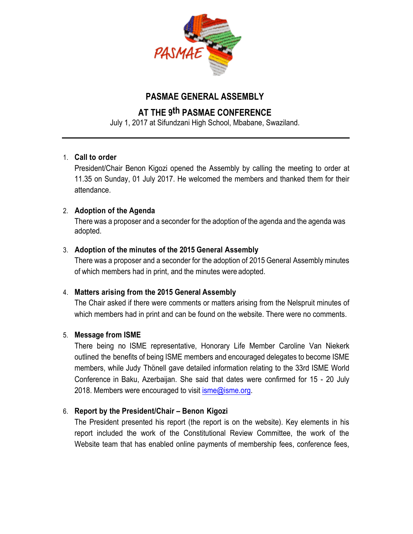

## **PASMAE GENERAL ASSEMBLY**

# **AT THE 9th PASMAE CONFERENCE**

July 1, 2017 at Sifundzani High School, Mbabane, Swaziland.

## 1. **Call to order**

President/Chair Benon Kigozi opened the Assembly by calling the meeting to order at 11.35 on Sunday, 01 July 2017. He welcomed the members and thanked them for their attendance.

## 2. **Adoption of the Agenda**

There was a proposer and a seconder for the adoption of the agenda and the agenda was adopted.

## 3. **Adoption of the minutes of the 2015 General Assembly**

There was a proposer and a seconder for the adoption of 2015 General Assembly minutes of which members had in print, and the minutes were adopted.

## 4. **Matters arising from the 2015 General Assembly**

The Chair asked if there were comments or matters arising from the Nelspruit minutes of which members had in print and can be found on the website. There were no comments.

## 5. **Message from ISME**

There being no ISME representative, Honorary Life Member Caroline Van Niekerk outlined the benefits of being ISME members and encouraged delegates to become ISME members, while Judy Thönell gave detailed information relating to the 33rd ISME World Conference in Baku, Azerbaijan. She said that dates were confirmed for 15 - 20 July 2018. Members were encouraged to visit  $\overline{\text{isme@isme.org}}$ .

## 6. **Report by the President/Chair – Benon Kigozi**

The President presented his report (the report is on the website). Key elements in his report included the work of the Constitutional Review Committee, the work of the Website team that has enabled online payments of membership fees, conference fees,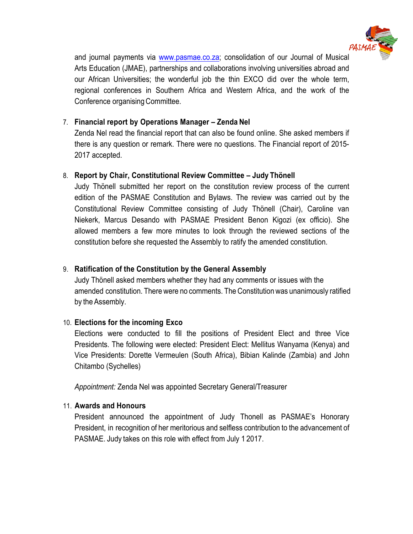

and journal payments via www.pasmae.co.za; consolidation of our Journal of Musical Arts Education (JMAE), partnerships and collaborations involving universities abroad and our African Universities; the wonderful job the thin EXCO did over the whole term, regional conferences in Southern Africa and Western Africa, and the work of the Conference organising Committee.

#### 7. **Financial report by Operations Manager – Zenda Nel**

Zenda Nel read the financial report that can also be found online. She asked members if there is any question or remark. There were no questions. The Financial report of 2015- 2017 accepted.

#### 8. **Report by Chair, Constitutional Review Committee – Judy Thönell**

Judy Thönell submitted her report on the constitution review process of the current edition of the PASMAE Constitution and Bylaws. The review was carried out by the Constitutional Review Committee consisting of Judy Thönell (Chair), Caroline van Niekerk, Marcus Desando with PASMAE President Benon Kigozi (ex officio). She allowed members a few more minutes to look through the reviewed sections of the constitution before she requested the Assembly to ratify the amended constitution.

## 9. **Ratification of the Constitution by the General Assembly**

Judy Thönell asked members whether they had any comments or issues with the amended constitution. There were no comments. The Constitution was unanimously ratified by the Assembly.

## 10. **Elections for the incoming Exco**

Elections were conducted to fill the positions of President Elect and three Vice Presidents. The following were elected: President Elect: Mellitus Wanyama (Kenya) and Vice Presidents: Dorette Vermeulen (South Africa), Bibian Kalinde (Zambia) and John Chitambo (Sychelles)

*Appointment:* Zenda Nel was appointed Secretary General/Treasurer

## 11. **Awards and Honours**

President announced the appointment of Judy Thonell as PASMAE's Honorary President, in recognition of her meritorious and selfless contribution to the advancement of PASMAE. Judy takes on this role with effect from July 1 2017.